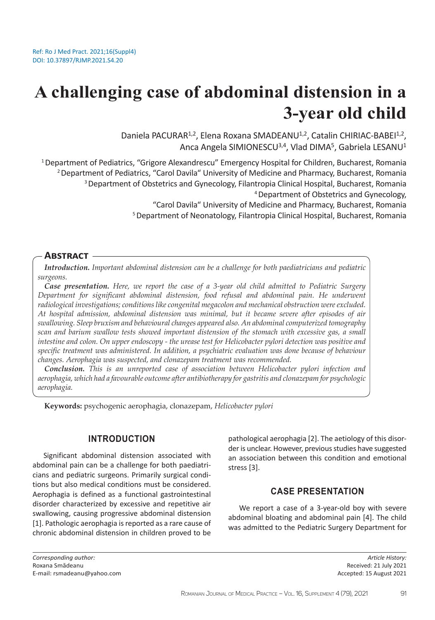# **A challenging case of abdominal distension in a 3-year old child**

Daniela PACURAR<sup>1,2</sup>, Elena Roxana SMADEANU<sup>1,2</sup>, Catalin CHIRIAC-BABEI<sup>1,2</sup>, Anca Angela SIMIONESCU<sup>3,4</sup>, Vlad DIMA<sup>5</sup>, Gabriela LESANU<sup>1</sup>

<sup>1</sup> Department of Pediatrics, "Grigore Alexandrescu" Emergency Hospital for Children, Bucharest, Romania <sup>2</sup> Department of Pediatrics, "Carol Davila" University of Medicine and Pharmacy, Bucharest, Romania <sup>3</sup>Department of Obstetrics and Gynecology, Filantropia Clinical Hospital, Bucharest, Romania 4 Department of Obstetrics and Gynecology,

"Carol Davila" University of Medicine and Pharmacy, Bucharest, Romania

<sup>5</sup> Department of Neonatology, Filantropia Clinical Hospital, Bucharest, Romania

#### **Abstract**

*Introduction. Important abdominal distension can be a challenge for both paediatricians and pediatric surgeons.* 

*Case presentation. Here, we report the case of a 3-year old child admitted to Pediatric Surgery Department for significant abdominal distension, food refusal and abdominal pain. He underwent radiological investigations; conditions like congenital megacolon and mechanical obstruction were excluded. At hospital admission, abdominal distension was minimal, but it became severe after episodes of air swallowing. Sleep bruxism and behavioural changes appeared also. An abdominal computerized tomography scan and barium swallow tests showed important distension of the stomach with excessive gas, a small intestine and colon. On upper endoscopy - the urease test for Helicobacter pylori detection was positive and specific treatment was administered. In addition, a psychiatric evaluation was done because of behaviour changes. Aerophagia was suspected, and clonazepam treatment was recommended.* 

*Conclusion. This is an unreported case of association between Helicobacter pylori infection and aerophagia, which had a favourable outcome after antibiotherapy for gastritis and clonazepam for psychologic aerophagia.*

**Keywords:** psychogenic aerophagia, clonazepam, *Helicobacter pylori*

#### **INTRODUCTION**

Significant abdominal distension associated with abdominal pain can be a challenge for both paediatricians and pediatric surgeons. Primarily surgical conditions but also medical conditions must be considered. Aerophagia is defined as a functional gastrointestinal disorder characterized by excessive and repetitive air swallowing, causing progressive abdominal distension [1]. Pathologic aerophagia is reported as a rare cause of chronic abdominal distension in children proved to be pathological aerophagia [2]. The aetiology of this disorder is unclear. However, previous studies have suggested an association between this condition and emotional stress [3].

### **CASE PRESENTATION**

We report a case of a 3-year-old boy with severe abdominal bloating and abdominal pain [4]. The child was admitted to the Pediatric Surgery Department for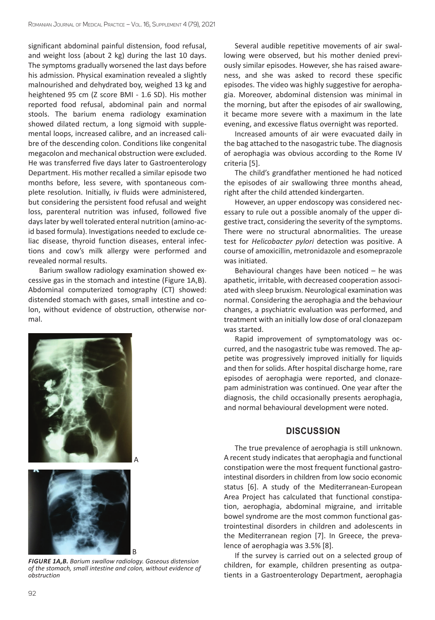significant abdominal painful distension, food refusal, and weight loss (about 2 kg) during the last 10 days. The symptoms gradually worsened the last days before his admission. Physical examination revealed a slightly malnourished and dehydrated boy, weighed 13 kg and heightened 95 cm (Z score BMI - 1.6 SD). His mother reported food refusal, abdominal pain and normal stools. The barium enema radiology examination showed dilated rectum, a long sigmoid with supplemental loops, increased calibre, and an increased calibre of the descending colon. Conditions like congenital megacolon and mechanical obstruction were excluded. He was transferred five days later to Gastroenterology Department. His mother recalled a similar episode two months before, less severe, with spontaneous complete resolution. Initially, iv fluids were administered, but considering the persistent food refusal and weight loss, parenteral nutrition was infused, followed five days later by well tolerated enteral nutrition (amino-acid based formula). Investigations needed to exclude celiac disease, thyroid function diseases, enteral infections and cow's milk allergy were performed and revealed normal results.

Barium swallow radiology examination showed excessive gas in the stomach and intestine (Figure 1A,B). Abdominal computerized tomography (CT) showed: distended stomach with gases, small intestine and colon, without evidence of obstruction, otherwise normal.



*FIGURE 1A,B. Barium swallow radiology. Gaseous distension of the stomach, small intestine and colon, without evidence of obstruction*

Several audible repetitive movements of air swallowing were observed, but his mother denied previously similar episodes. However, she has raised awareness, and she was asked to record these specific episodes. The video was highly suggestive for aerophagia. Moreover, abdominal distension was minimal in the morning, but after the episodes of air swallowing, it became more severe with a maximum in the late evening, and excessive flatus overnight was reported.

Increased amounts of air were evacuated daily in the bag attached to the nasogastric tube. The diagnosis of aerophagia was obvious according to the Rome IV criteria [5].

The child's grandfather mentioned he had noticed the episodes of air swallowing three months ahead, right after the child attended kindergarten.

However, an upper endoscopy was considered necessary to rule out a possible anomaly of the upper digestive tract, considering the severity of the symptoms. There were no structural abnormalities. The urease test for *Helicobacter pylori* detection was positive. A course of amoxicillin, metronidazole and esomeprazole was initiated.

Behavioural changes have been noticed  $-$  he was apathetic, irritable, with decreased cooperation associated with sleep bruxism. Neurological examination was normal. Considering the aerophagia and the behaviour changes, a psychiatric evaluation was performed, and treatment with an initially low dose of oral clonazepam was started.

Rapid improvement of symptomatology was occurred, and the nasogastric tube was removed. The appetite was progressively improved initially for liquids and then for solids. After hospital discharge home, rare episodes of aerophagia were reported, and clonazepam administration was continued. One year after the diagnosis, the child occasionally presents aerophagia, and normal behavioural development were noted.

### **DISCUSSION**

The true prevalence of aerophagia is still unknown. A recent study indicates that aerophagia and functional constipation were the most frequent functional gastrointestinal disorders in children from low socio economic status [6]. A study of the Mediterranean-European Area Project has calculated that functional constipation, aerophagia, abdominal migraine, and irritable bowel syndrome are the most common functional gastrointestinal disorders in children and adolescents in the Mediterranean region [7]. In Greece, the prevalence of aerophagia was 3.5% [8].

If the survey is carried out on a selected group of children, for example, children presenting as outpatients in a Gastroenterology Department, aerophagia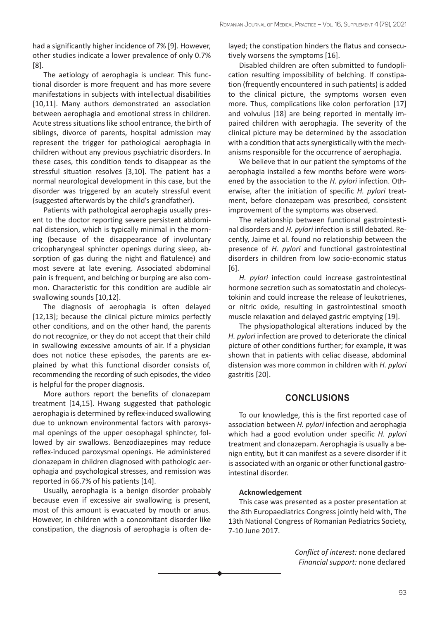had a significantly higher incidence of 7% [9]. However, other studies indicate a lower prevalence of only 0.7% [8].

The aetiology of aerophagia is unclear. This functional disorder is more frequent and has more severe manifestations in subjects with intellectual disabilities [10,11]. Many authors demonstrated an association between aerophagia and emotional stress in children. Acute stress situations like school entrance, the birth of siblings, divorce of parents, hospital admission may represent the trigger for pathological aerophagia in children without any previous psychiatric disorders. In these cases, this condition tends to disappear as the stressful situation resolves [3,10]. The patient has a normal neurological development in this case, but the disorder was triggered by an acutely stressful event (suggested afterwards by the child's grandfather).

Patients with pathological aerophagia usually present to the doctor reporting severe persistent abdominal distension, which is typically minimal in the morning (because of the disappearance of involuntary cricopharyngeal sphincter openings during sleep, absorption of gas during the night and flatulence) and most severe at late evening. Associated abdominal pain is frequent, and belching or burping are also common. Characteristic for this condition are audible air swallowing sounds [10,12].

The diagnosis of aerophagia is often delayed [12,13]; because the clinical picture mimics perfectly other conditions, and on the other hand, the parents do not recognize, or they do not accept that their child in swallowing excessive amounts of air. If a physician does not notice these episodes, the parents are explained by what this functional disorder consists of, recommending the recording of such episodes, the video is helpful for the proper diagnosis.

More authors report the benefits of clonazepam treatment [14,15]. Hwang suggested that pathologic aerophagia is determined by reflex-induced swallowing due to unknown environmental factors with paroxysmal openings of the upper oesophagal sphincter, followed by air swallows. Benzodiazepines may reduce reflex-induced paroxysmal openings. He administered clonazepam in children diagnosed with pathologic aerophagia and psychological stresses, and remission was reported in 66.7% of his patients [14].

Usually, aerophagia is a benign disorder probably because even if excessive air swallowing is present, most of this amount is evacuated by mouth or anus. However, in children with a concomitant disorder like constipation, the diagnosis of aerophagia is often delayed; the constipation hinders the flatus and consecutively worsens the symptoms [16].

Disabled children are often submitted to fundoplication resulting impossibility of belching. If constipation (frequently encountered in such patients) is added to the clinical picture, the symptoms worsen even more. Thus, complications like colon perforation [17] and volvulus [18] are being reported in mentally impaired children with aerophagia. The severity of the clinical picture may be determined by the association with a condition that acts synergistically with the mechanisms responsible for the occurrence of aerophagia.

We believe that in our patient the symptoms of the aerophagia installed a few months before were worsened by the association to the *H. pylori* infection. Otherwise, after the initiation of specific *H. pylori* treatment, before clonazepam was prescribed, consistent improvement of the symptoms was observed.

The relationship between functional gastrointestinal disorders and *H. pylori* infection is still debated. Recently, Jaime et al. found no relationship between the presence of *H. pylori* and functional gastrointestinal disorders in children from low socio-economic status [6].

*H. pylori* infection could increase gastrointestinal hormone secretion such as somatostatin and cholecystokinin and could increase the release of leukotrienes, or nitric oxide, resulting in gastrointestinal smooth muscle relaxation and delayed gastric emptying [19].

The physiopathological alterations induced by the *H. pylori* infection are proved to deteriorate the clinical picture of other conditions further; for example, it was shown that in patients with celiac disease, abdominal distension was more common in children with *H. pylori* gastritis [20].

## **CONCLUSIONS**

To our knowledge, this is the first reported case of association between *H. pylori* infection and aerophagia which had a good evolution under specific *H. pylori* treatment and clonazepam. Aerophagia is usually a benign entity, but it can manifest as a severe disorder if it is associated with an organic or other functional gastrointestinal disorder.

## **Acknowledgement**

This case was presented as a poster presentation at the 8th Europaediatrics Congress jointly held with, The 13th National Congress of Romanian Pediatrics Society, 7-10 June 2017.

> *Conflict of interest:* none declared *Financial support:* none declared